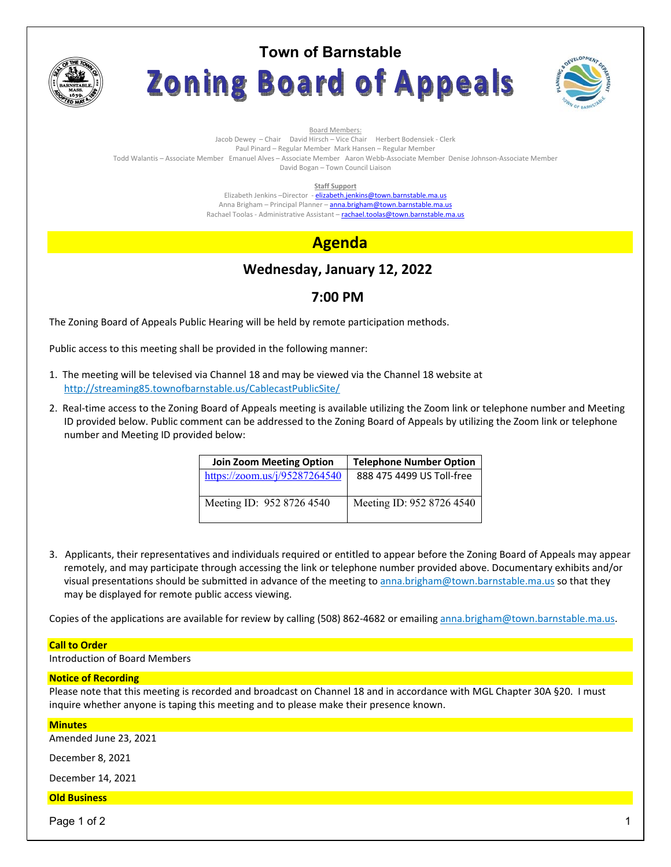

# **Town of Barnstable** Zoning Board of Appeals



Board Members: Jacob Dewey – Chair David Hirsch – Vice Chair Herbert Bodensiek - Clerk Paul Pinard – Regular Member Mark Hansen – Regular Member Todd Walantis – Associate Member Emanuel Alves – Associate Member Aaron Webb-Associate Member Denise Johnson-Associate Member David Bogan – Town Council Liaison

**Staff Support** 

Elizabeth Jenkins -Director - elizabeth.jenkins@town.barnstable.ma.us Anna Brigham - Principal Planner - anna.brigham@town.barnstable.ma.us Rachael Toolas - Administrative Assistant - rachael.toolas@town.barnstable.ma.us

# **Agenda**

# **Wednesday, January 12, 2022**

## **7:00 PM**

The Zoning Board of Appeals Public Hearing will be held by remote participation methods.

Public access to this meeting shall be provided in the following manner:

- 1. The meeting will be televised via Channel 18 and may be viewed via the Channel 18 website at http://streaming85.townofbarnstable.us/CablecastPublicSite/
- 2. Real-time access to the Zoning Board of Appeals meeting is available utilizing the Zoom link or telephone number and Meeting ID provided below. Public comment can be addressed to the Zoning Board of Appeals by utilizing the Zoom link or telephone number and Meeting ID provided below:

| <b>Join Zoom Meeting Option</b> | <b>Telephone Number Option</b> |
|---------------------------------|--------------------------------|
| https://zoom.us/j/95287264540   | 888 475 4499 US Toll-free      |
| Meeting ID: 952 8726 4540       | Meeting ID: 952 8726 4540      |

3. Applicants, their representatives and individuals required or entitled to appear before the Zoning Board of Appeals may appear remotely, and may participate through accessing the link or telephone number provided above. Documentary exhibits and/or visual presentations should be submitted in advance of the meeting to anna.brigham@town.barnstable.ma.us so that they may be displayed for remote public access viewing.

Copies of the applications are available for review by calling (508) 862-4682 or emailing anna.brigham@town.barnstable.ma.us.

### **Call to Order**

Introduction of Board Members

### **Notice of Recording**

Please note that this meeting is recorded and broadcast on Channel 18 and in accordance with MGL Chapter 30A §20. I must inquire whether anyone is taping this meeting and to please make their presence known.

### **Minutes**

Amended June 23, 2021

December 8, 2021

December 14, 2021

### **Old Business**

Page 1 of 2  $\hphantom{\ddots}$